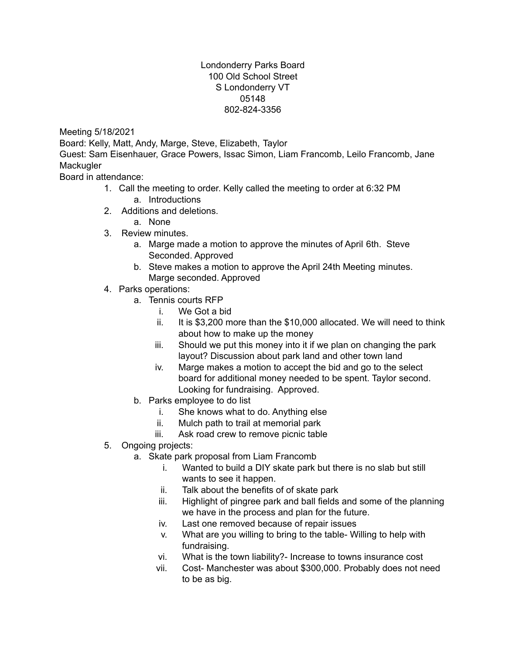## Londonderry Parks Board 100 Old School Street S Londonderry VT 05148 802-824-3356

Meeting 5/18/2021

Board: Kelly, Matt, Andy, Marge, Steve, Elizabeth, Taylor

Guest: Sam Eisenhauer, Grace Powers, Issac Simon, Liam Francomb, Leilo Francomb, Jane **Mackugler** 

Board in attendance:

- 1. Call the meeting to order. Kelly called the meeting to order at 6:32 PM
	- a. Introductions
- 2. Additions and deletions.
	- a. None
- 3. Review minutes.
	- a. Marge made a motion to approve the minutes of April 6th. Steve Seconded. Approved
	- b. Steve makes a motion to approve the April 24th Meeting minutes. Marge seconded. Approved
- 4. Parks operations:
	- a. Tennis courts RFP
		- i. We Got a bid
		- ii. It is \$3,200 more than the \$10,000 allocated. We will need to think about how to make up the money
		- iii. Should we put this money into it if we plan on changing the park layout? Discussion about park land and other town land
		- iv. Marge makes a motion to accept the bid and go to the select board for additional money needed to be spent. Taylor second. Looking for fundraising. Approved.
	- b. Parks employee to do list
		- i. She knows what to do. Anything else
		- ii. Mulch path to trail at memorial park
		- iii. Ask road crew to remove picnic table
- 5. Ongoing projects:
	- a. Skate park proposal from Liam Francomb
		- i. Wanted to build a DIY skate park but there is no slab but still wants to see it happen.
		- ii. Talk about the benefits of of skate park
		- iii. Highlight of pingree park and ball fields and some of the planning we have in the process and plan for the future.
		- iv. Last one removed because of repair issues
		- v. What are you willing to bring to the table- Willing to help with fundraising.
		- vi. What is the town liability?- Increase to towns insurance cost
		- vii. Cost- Manchester was about \$300,000. Probably does not need to be as big.